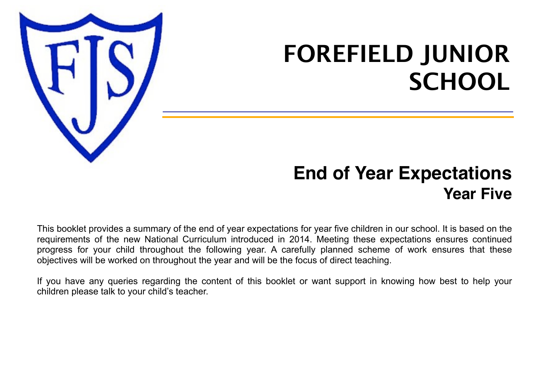

# **FOREFIELD JUNIOR SCHOOL**

## **End of Year Expectations Year Five**

This booklet provides a summary of the end of year expectations for year five children in our school. It is based on the requirements of the new National Curriculum introduced in 2014. Meeting these expectations ensures continued progress for your child throughout the following year. A carefully planned scheme of work ensures that these objectives will be worked on throughout the year and will be the focus of direct teaching.

If you have any queries regarding the content of this booklet or want support in knowing how best to help your children please talk to your child's teacher.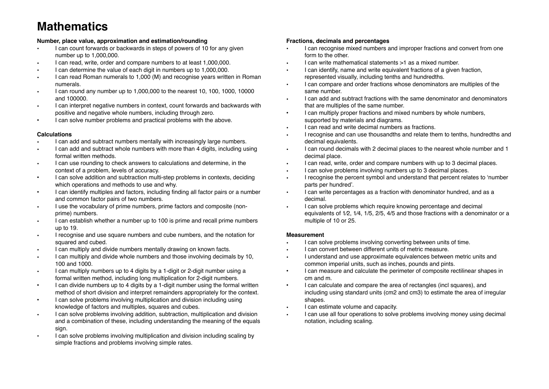### **Mathematics**

### **Number, place value, approximation and estimation/rounding**

- I can count forwards or backwards in steps of powers of 10 for any given number up to 1,000,000.
- I can read, write, order and compare numbers to at least 1,000,000.
- I can determine the value of each digit in numbers up to 1,000,000.
- I can read Roman numerals to 1,000 (M) and recognise years written in Roman numerals.
- I can round any number up to 1,000,000 to the nearest 10, 100, 1000, 10000 and 100000.
- I can interpret negative numbers in context, count forwards and backwards with positive and negative whole numbers, including through zero.
- I can solve number problems and practical problems with the above.

### **Calculations**

- I can add and subtract numbers mentally with increasingly large numbers.
- I can add and subtract whole numbers with more than 4 digits, including using formal written methods.
- I can use rounding to check answers to calculations and determine, in the context of a problem, levels of accuracy.
- I can solve addition and subtraction multi-step problems in contexts, deciding which operations and methods to use and why.
- I can identify multiples and factors, including finding all factor pairs or a number and common factor pairs of two numbers.
- I use the vocabulary of prime numbers, prime factors and composite (nonprime) numbers.
- I can establish whether a number up to 100 is prime and recall prime numbers up to 19.
- I recognise and use square numbers and cube numbers, and the notation for squared and cubed.
- I can multiply and divide numbers mentally drawing on known facts.
- I can multiply and divide whole numbers and those involving decimals by 10, 100 and 1000.
- I can multiply numbers up to 4 digits by a 1-digit or 2-digit number using a formal written method, including long multiplication for 2-digit numbers.
- I can divide numbers up to 4 digits by a 1-digit number using the formal written method of short division and interpret remainders appropriately for the context.
- I can solve problems involving multiplication and division including using knowledge of factors and multiples, squares and cubes.
- I can solve problems involving addition, subtraction, multiplication and division and a combination of these, including understanding the meaning of the equals sign.
- I can solve problems involving multiplication and division including scaling by simple fractions and problems involving simple rates.

### **Fractions, decimals and percentages**

- I can recognise mixed numbers and improper fractions and convert from one form to the other.
- I can write mathematical statements >1 as a mixed number.
- I can identify, name and write equivalent fractions of a given fraction, represented visually, including tenths and hundredths.
- I can compare and order fractions whose denominators are multiples of the same number.
- I can add and subtract fractions with the same denominator and denominators that are multiples of the same number.
- I can multiply proper fractions and mixed numbers by whole numbers, supported by materials and diagrams.
- I can read and write decimal numbers as fractions.
- I recognise and can use thousandths and relate them to tenths, hundredths and decimal equivalents.
- I can round decimals with 2 decimal places to the nearest whole number and 1 decimal place.
- I can read, write, order and compare numbers with up to 3 decimal places.
- I can solve problems involving numbers up to 3 decimal places.
- I recognise the percent symbol and understand that percent relates to ʻnumber parts per hundred'.
- I can write percentages as a fraction with denominator hundred, and as a decimal.
- I can solve problems which require knowing percentage and decimal equivalents of 1⁄2, 1⁄4, 1/5, 2/5, 4/5 and those fractions with a denominator or a multiple of 10 or 25.

### **Measurement**

- I can solve problems involving converting between units of time.
- I can convert between different units of metric measure.
- I understand and use approximate equivalences between metric units and common imperial units, such as inches, pounds and pints.
- I can measure and calculate the perimeter of composite rectilinear shapes in cm and m.
- I can calculate and compare the area of rectangles (incl squares), and including using standard units (cm2 and cm3) to estimate the area of irregular shapes.
- I can estimate volume and capacity.
- I can use all four operations to solve problems involving money using decimal notation, including scaling.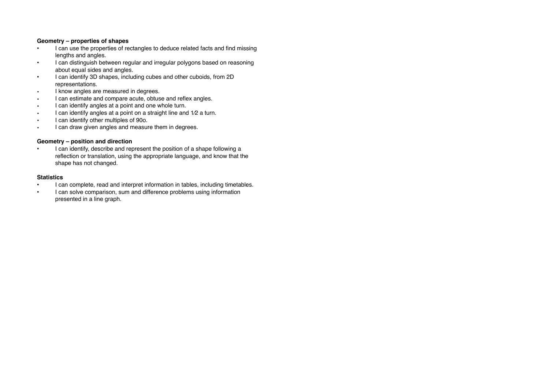### **Geometry – properties of shapes**

- I can use the properties of rectangles to deduce related facts and find missing lengths and angles.
- I can distinguish between regular and irregular polygons based on reasoning about equal sides and angles.
- I can identify 3D shapes, including cubes and other cuboids, from 2D representations.
- I know angles are measured in degrees.
- I can estimate and compare acute, obtuse and reflex angles.
- I can identify angles at a point and one whole turn.
- I can identify angles at a point on a straight line and 1/2 a turn.
- I can identify other multiples of 90o.
- I can draw given angles and measure them in degrees.

### **Geometry – position and direction**

• I can identify, describe and represent the position of a shape following a reflection or translation, using the appropriate language, and know that the shape has not changed.

#### **Statistics**

- I can complete, read and interpret information in tables, including timetables.
- I can solve comparison, sum and difference problems using information presented in a line graph.